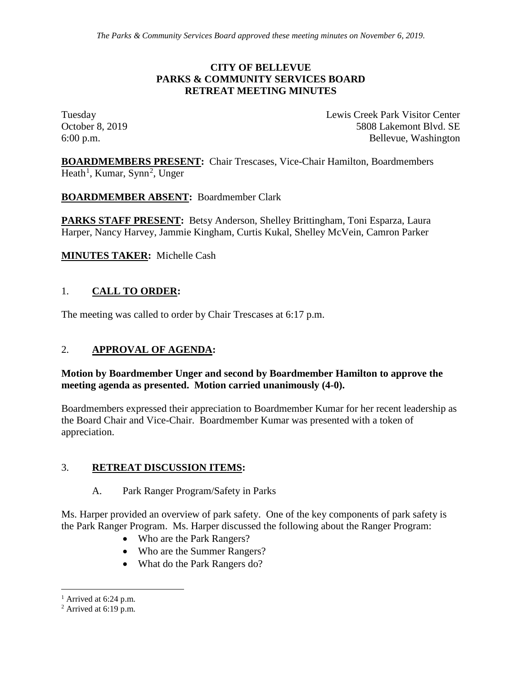#### **CITY OF BELLEVUE PARKS & COMMUNITY SERVICES BOARD RETREAT MEETING MINUTES**

Tuesday Lewis Creek Park Visitor Center October 8, 2019 **5808 Lakemont Blvd. SE** 6:00 p.m. Bellevue, Washington

**BOARDMEMBERS PRESENT:** Chair Trescases, Vice-Chair Hamilton, Boardmembers Heath<sup>[1](#page-0-0)</sup>, Kumar, Synn<sup>[2](#page-0-1)</sup>, Unger

**BOARDMEMBER ABSENT:** Boardmember Clark

**PARKS STAFF PRESENT:** Betsy Anderson, Shelley Brittingham, Toni Esparza, Laura Harper, Nancy Harvey, Jammie Kingham, Curtis Kukal, Shelley McVein, Camron Parker

**MINUTES TAKER:** Michelle Cash

# 1. **CALL TO ORDER:**

The meeting was called to order by Chair Trescases at 6:17 p.m.

### 2. **APPROVAL OF AGENDA:**

### **Motion by Boardmember Unger and second by Boardmember Hamilton to approve the meeting agenda as presented. Motion carried unanimously (4-0).**

Boardmembers expressed their appreciation to Boardmember Kumar for her recent leadership as the Board Chair and Vice-Chair. Boardmember Kumar was presented with a token of appreciation.

### 3. **RETREAT DISCUSSION ITEMS:**

### A. Park Ranger Program/Safety in Parks

Ms. Harper provided an overview of park safety. One of the key components of park safety is the Park Ranger Program. Ms. Harper discussed the following about the Ranger Program:

- Who are the Park Rangers?
- Who are the Summer Rangers?
- What do the Park Rangers do?

<span id="page-0-0"></span> $<sup>1</sup>$  Arrived at 6:24 p.m.</sup>

<span id="page-0-1"></span> $2$  Arrived at 6:19 p.m.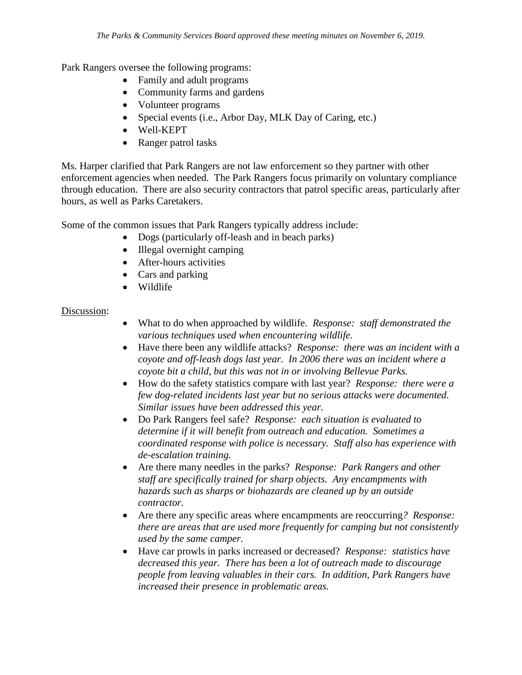Park Rangers oversee the following programs:

- Family and adult programs
- Community farms and gardens
- Volunteer programs
- Special events (i.e., Arbor Day, MLK Day of Caring, etc.)
- Well-KEPT
- Ranger patrol tasks

Ms. Harper clarified that Park Rangers are not law enforcement so they partner with other enforcement agencies when needed. The Park Rangers focus primarily on voluntary compliance through education. There are also security contractors that patrol specific areas, particularly after hours, as well as Parks Caretakers.

Some of the common issues that Park Rangers typically address include:

- Dogs (particularly off-leash and in beach parks)
- Illegal overnight camping
- After-hours activities
- Cars and parking
- Wildlife

#### Discussion:

- What to do when approached by wildlife. *Response: staff demonstrated the various techniques used when encountering wildlife.*
- Have there been any wildlife attacks? *Response: there was an incident with a coyote and off-leash dogs last year. In 2006 there was an incident where a coyote bit a child, but this was not in or involving Bellevue Parks.*
- How do the safety statistics compare with last year? *Response: there were a few dog-related incidents last year but no serious attacks were documented. Similar issues have been addressed this year.*
- Do Park Rangers feel safe? *Response: each situation is evaluated to determine if it will benefit from outreach and education. Sometimes a coordinated response with police is necessary. Staff also has experience with de-escalation training.*
- Are there many needles in the parks? *Response: Park Rangers and other staff are specifically trained for sharp objects. Any encampments with hazards such as sharps or biohazards are cleaned up by an outside contractor.*
- Are there any specific areas where encampments are reoccurring*? Response: there are areas that are used more frequently for camping but not consistently used by the same camper.*
- Have car prowls in parks increased or decreased? *Response: statistics have decreased this year. There has been a lot of outreach made to discourage people from leaving valuables in their cars. In addition, Park Rangers have increased their presence in problematic areas.*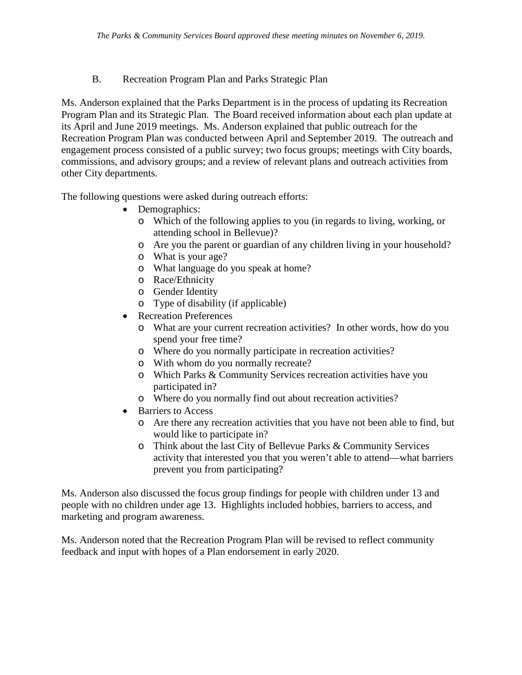# B. Recreation Program Plan and Parks Strategic Plan

Ms. Anderson explained that the Parks Department is in the process of updating its Recreation Program Plan and its Strategic Plan. The Board received information about each plan update at its April and June 2019 meetings. Ms. Anderson explained that public outreach for the Recreation Program Plan was conducted between April and September 2019. The outreach and engagement process consisted of a public survey; two focus groups; meetings with City boards, commissions, and advisory groups; and a review of relevant plans and outreach activities from other City departments.

The following questions were asked during outreach efforts:

- Demographics:
	- o Which of the following applies to you (in regards to living, working, or attending school in Bellevue)?
	- o Are you the parent or guardian of any children living in your household?
	- o What is your age?
	- o What language do you speak at home?
	- o Race/Ethnicity
	- o Gender Identity
	- o Type of disability (if applicable)
- Recreation Preferences
	- o What are your current recreation activities? In other words, how do you spend your free time?
	- o Where do you normally participate in recreation activities?
	- o With whom do you normally recreate?
	- o Which Parks & Community Services recreation activities have you participated in?
	- o Where do you normally find out about recreation activities?
- Barriers to Access
	- o Are there any recreation activities that you have not been able to find, but would like to participate in?
	- o Think about the last City of Bellevue Parks & Community Services activity that interested you that you weren't able to attend—what barriers prevent you from participating?

Ms. Anderson also discussed the focus group findings for people with children under 13 and people with no children under age 13. Highlights included hobbies, barriers to access, and marketing and program awareness.

Ms. Anderson noted that the Recreation Program Plan will be revised to reflect community feedback and input with hopes of a Plan endorsement in early 2020.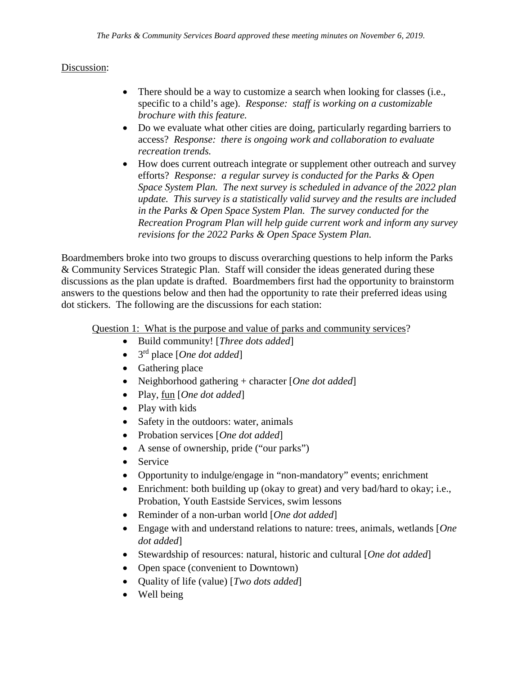# Discussion:

- There should be a way to customize a search when looking for classes (i.e., specific to a child's age). *Response: staff is working on a customizable brochure with this feature.*
- Do we evaluate what other cities are doing, particularly regarding barriers to access? *Response: there is ongoing work and collaboration to evaluate recreation trends.*
- How does current outreach integrate or supplement other outreach and survey efforts? *Response: a regular survey is conducted for the Parks & Open Space System Plan. The next survey is scheduled in advance of the 2022 plan update. This survey is a statistically valid survey and the results are included in the Parks & Open Space System Plan. The survey conducted for the Recreation Program Plan will help guide current work and inform any survey revisions for the 2022 Parks & Open Space System Plan.*

Boardmembers broke into two groups to discuss overarching questions to help inform the Parks & Community Services Strategic Plan. Staff will consider the ideas generated during these discussions as the plan update is drafted. Boardmembers first had the opportunity to brainstorm answers to the questions below and then had the opportunity to rate their preferred ideas using dot stickers. The following are the discussions for each station:

Question 1: What is the purpose and value of parks and community services?

- Build community! [*Three dots added*]
- 3rd place [*One dot added*]
- Gathering place
- Neighborhood gathering + character [*One dot added*]
- Play, fun [*One dot added*]
- Play with kids
- Safety in the outdoors: water, animals
- Probation services [*One dot added*]
- A sense of ownership, pride ("our parks")
- Service
- Opportunity to indulge/engage in "non-mandatory" events; enrichment
- Enrichment: both building up (okay to great) and very bad/hard to okay; i.e., Probation, Youth Eastside Services, swim lessons
- Reminder of a non-urban world [*One dot added*]
- Engage with and understand relations to nature: trees, animals, wetlands [*One dot added*]
- Stewardship of resources: natural, historic and cultural [*One dot added*]
- Open space (convenient to Downtown)
- Quality of life (value) [*Two dots added*]
- Well being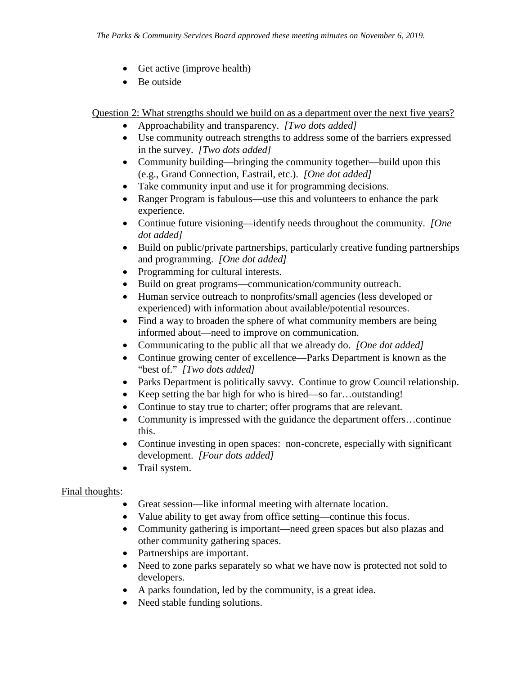- Get active (improve health)
- Be outside

Question 2: What strengths should we build on as a department over the next five years?

- Approachability and transparency. *[Two dots added]*
- Use community outreach strengths to address some of the barriers expressed in the survey. *[Two dots added]*
- Community building—bringing the community together—build upon this (e.g., Grand Connection, Eastrail, etc.). *[One dot added]*
- Take community input and use it for programming decisions.
- Ranger Program is fabulous—use this and volunteers to enhance the park experience.
- Continue future visioning—identify needs throughout the community. *[One dot added]*
- Build on public/private partnerships, particularly creative funding partnerships and programming. *[One dot added]*
- Programming for cultural interests.
- Build on great programs—communication/community outreach.
- Human service outreach to nonprofits/small agencies (less developed or experienced) with information about available/potential resources.
- Find a way to broaden the sphere of what community members are being informed about—need to improve on communication.
- Communicating to the public all that we already do. *[One dot added]*
- Continue growing center of excellence—Parks Department is known as the "best of." *[Two dots added]*
- Parks Department is politically savvy. Continue to grow Council relationship.
- Keep setting the bar high for who is hired—so far...outstanding!
- Continue to stay true to charter; offer programs that are relevant.
- Community is impressed with the guidance the department offers...continue this.
- Continue investing in open spaces: non-concrete, especially with significant development. *[Four dots added]*
- Trail system.

### Final thoughts:

- Great session—like informal meeting with alternate location.
- Value ability to get away from office setting—continue this focus.
- Community gathering is important—need green spaces but also plazas and other community gathering spaces.
- Partnerships are important.
- Need to zone parks separately so what we have now is protected not sold to developers.
- A parks foundation, led by the community, is a great idea.
- Need stable funding solutions.